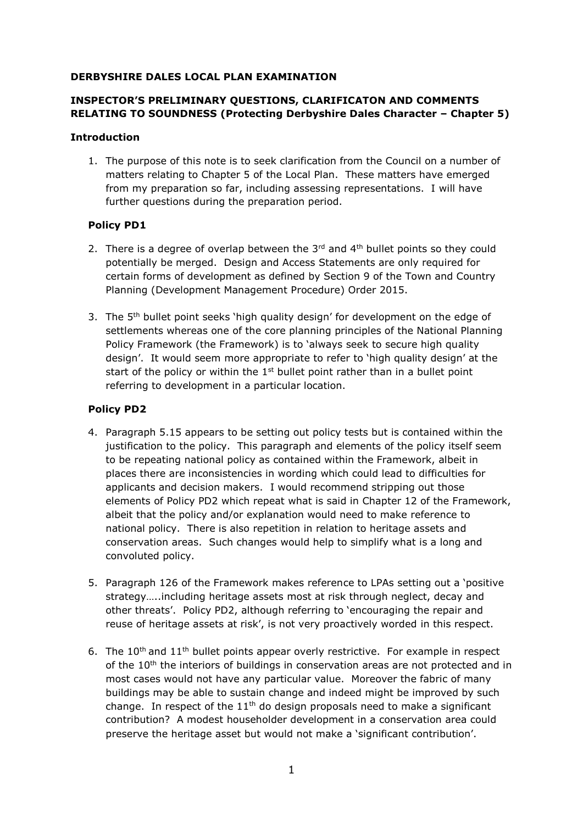#### **DERBYSHIRE DALES LOCAL PLAN EXAMINATION**

## **INSPECTOR'S PRELIMINARY QUESTIONS, CLARIFICATON AND COMMENTS RELATING TO SOUNDNESS (Protecting Derbyshire Dales Character – Chapter 5)**

#### **Introduction**

1. The purpose of this note is to seek clarification from the Council on a number of matters relating to Chapter 5 of the Local Plan. These matters have emerged from my preparation so far, including assessing representations. I will have further questions during the preparation period.

### **Policy PD1**

- 2. There is a degree of overlap between the  $3<sup>rd</sup>$  and  $4<sup>th</sup>$  bullet points so they could potentially be merged. Design and Access Statements are only required for certain forms of development as defined by Section 9 of the Town and Country Planning (Development Management Procedure) Order 2015.
- 3. The 5<sup>th</sup> bullet point seeks 'high quality design' for development on the edge of settlements whereas one of the core planning principles of the National Planning Policy Framework (the Framework) is to 'always seek to secure high quality design'. It would seem more appropriate to refer to 'high quality design' at the start of the policy or within the  $1<sup>st</sup>$  bullet point rather than in a bullet point referring to development in a particular location.

# **Policy PD2**

- 4. Paragraph 5.15 appears to be setting out policy tests but is contained within the justification to the policy. This paragraph and elements of the policy itself seem to be repeating national policy as contained within the Framework, albeit in places there are inconsistencies in wording which could lead to difficulties for applicants and decision makers. I would recommend stripping out those elements of Policy PD2 which repeat what is said in Chapter 12 of the Framework, albeit that the policy and/or explanation would need to make reference to national policy. There is also repetition in relation to heritage assets and conservation areas. Such changes would help to simplify what is a long and convoluted policy.
- 5. Paragraph 126 of the Framework makes reference to LPAs setting out a 'positive strategy…..including heritage assets most at risk through neglect, decay and other threats'. Policy PD2, although referring to 'encouraging the repair and reuse of heritage assets at risk', is not very proactively worded in this respect.
- 6. The  $10^{th}$  and  $11^{th}$  bullet points appear overly restrictive. For example in respect of the  $10<sup>th</sup>$  the interiors of buildings in conservation areas are not protected and in most cases would not have any particular value. Moreover the fabric of many buildings may be able to sustain change and indeed might be improved by such change. In respect of the  $11<sup>th</sup>$  do design proposals need to make a significant contribution? A modest householder development in a conservation area could preserve the heritage asset but would not make a 'significant contribution'.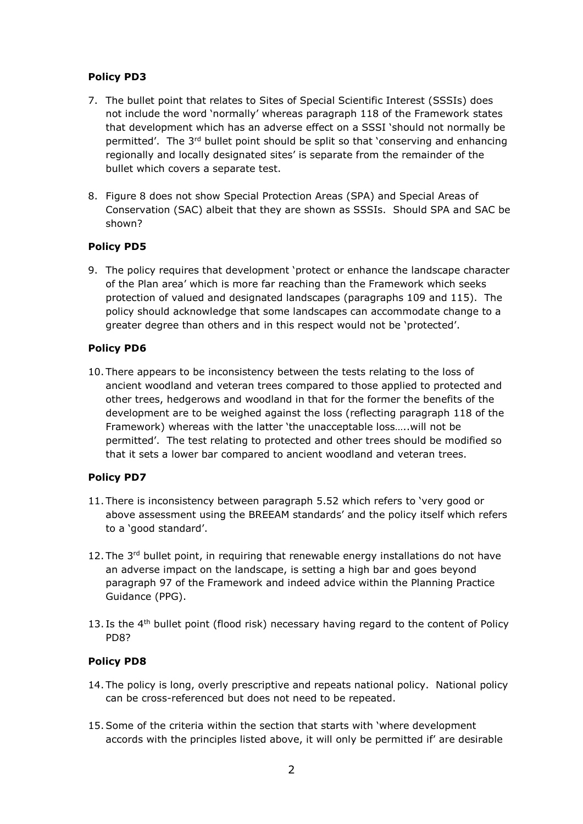### **Policy PD3**

- 7. The bullet point that relates to Sites of Special Scientific Interest (SSSIs) does not include the word 'normally' whereas paragraph 118 of the Framework states that development which has an adverse effect on a SSSI 'should not normally be permitted'. The 3rd bullet point should be split so that 'conserving and enhancing regionally and locally designated sites' is separate from the remainder of the bullet which covers a separate test.
- 8. Figure 8 does not show Special Protection Areas (SPA) and Special Areas of Conservation (SAC) albeit that they are shown as SSSIs. Should SPA and SAC be shown?

## **Policy PD5**

9. The policy requires that development 'protect or enhance the landscape character of the Plan area' which is more far reaching than the Framework which seeks protection of valued and designated landscapes (paragraphs 109 and 115). The policy should acknowledge that some landscapes can accommodate change to a greater degree than others and in this respect would not be 'protected'.

### **Policy PD6**

10. There appears to be inconsistency between the tests relating to the loss of ancient woodland and veteran trees compared to those applied to protected and other trees, hedgerows and woodland in that for the former the benefits of the development are to be weighed against the loss (reflecting paragraph 118 of the Framework) whereas with the latter 'the unacceptable loss…..will not be permitted'. The test relating to protected and other trees should be modified so that it sets a lower bar compared to ancient woodland and veteran trees.

# **Policy PD7**

- 11. There is inconsistency between paragraph 5.52 which refers to 'very good or above assessment using the BREEAM standards' and the policy itself which refers to a 'good standard'.
- 12. The 3<sup>rd</sup> bullet point, in requiring that renewable energy installations do not have an adverse impact on the landscape, is setting a high bar and goes beyond paragraph 97 of the Framework and indeed advice within the Planning Practice Guidance (PPG).
- 13. Is the  $4<sup>th</sup>$  bullet point (flood risk) necessary having regard to the content of Policy PD8?

### **Policy PD8**

- 14. The policy is long, overly prescriptive and repeats national policy. National policy can be cross-referenced but does not need to be repeated.
- 15.Some of the criteria within the section that starts with 'where development accords with the principles listed above, it will only be permitted if' are desirable